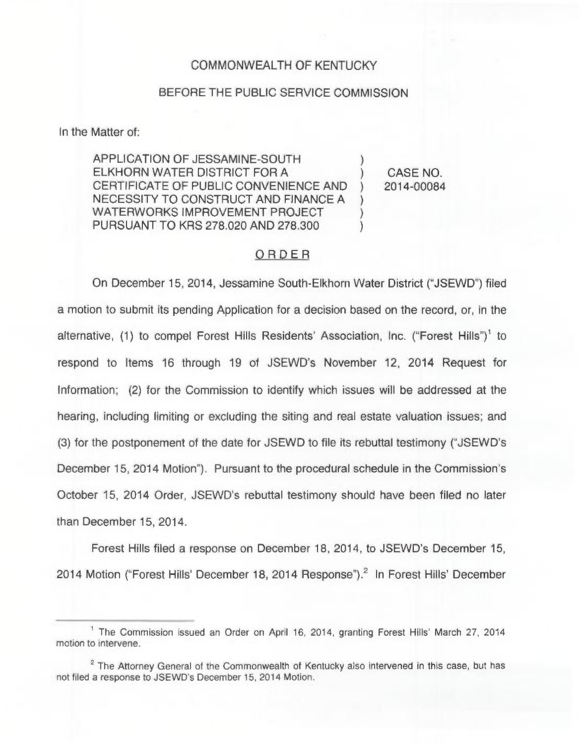## COMMONWEALTH OF KENTUCKY

## BEFORE THE PUBLIC SERVICE COMMISSION

In the Matter of:

APPLICATION OF JESSAMINE-SOUTH ELKHORN WATER DISTRICT FOR A CERTIFICATE OF PUBLIC CONVENIENCE AND NECESSITY TO CONSTRUCT AND FINANCE A WATERWORKS IMPROVEMENT PROJECT PURSUANT TO KRS 278.020 AND 278.300 ) ) ) )

) CASE NO. ) 2014-00084

## ORDER

On December 15, 2014, Jessamine South-Elkhorn Water District ("JSEWD")filed a motion to submit its pending Application for a decision based on the record, or, in the alternative, (1) to compel Forest Hills Residents' Association, Inc. ("Forest Hills")<sup>1</sup> to respond to Items 16 through 19 of JSEWD's November 12, 2014 Request for Information; (2) for the Commission to identify which issues will be addressed at the hearing, including limiting or excluding the siting and real estate valuation issues; and (3) for the postponement of the date for JSEWD to file its rebuttal testimony ("JSEWD's December 15, 2014 Motion"). Pursuant to the procedural schedule in the Commission's October 15, 2014 Order, JSEWD's rebuttal testimony should have been filed no later than December 15, 2014.

Forest Hills filed a response on December 18, 2014, to JSEWD's December 15, 2014 Motion ("Forest Hills' December 18, 2014 Response").<sup>2</sup> In Forest Hills' December

 $<sup>1</sup>$  The Commission issued an Order on April 16, 2014, granting Forest Hills' March 27, 2014</sup> motion to intervene.

 $2$  The Attorney General of the Commonwealth of Kentucky also intervened in this case, but has not filed a response to JSEWD's December 15, 2014 Motion.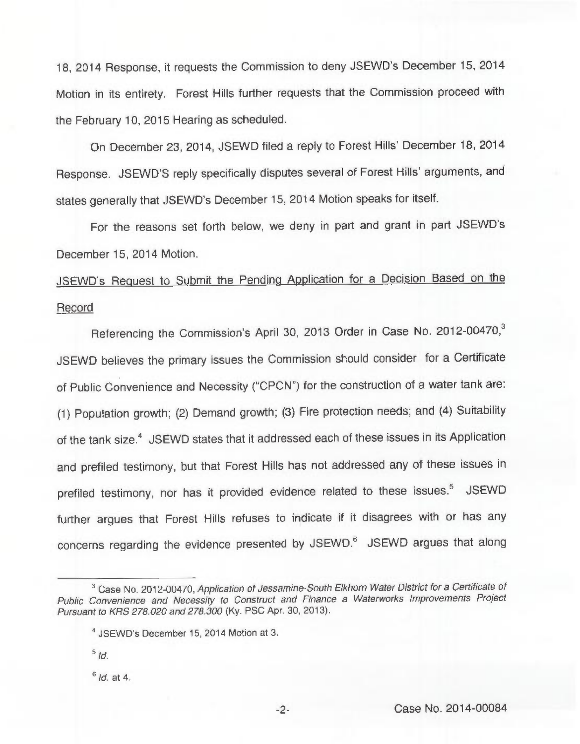18, 2014 Response, it requests the Commission to deny JSEWD's December 15, 2014 Motion in its entirety. Forest Hills further requests that the Commission proceed with the February 10, 2015 Hearing as scheduled.

On December 23, 2014, JSEWD filed a reply to Forest Hills' December 18, 2014 Response. JSEWD'S reply specifically disputes several of Forest Hills' arguments, and states generally that JSEWD's December 15, 2014 Motion speaks for itself.

For the reasons set forth below, we deny in part and grant in part JSEWD's December 15, 2014 Motion.

JSEWD's Request to Submit the Pending Application for a Decision Based on the Record

Referencing the Commission's April 30, 2013 Order in Case No. 2012-00470,<sup>3</sup> JSEWD believes the primary issues the Commission should consider for a Certificate of Public Convenience and Necessity ("CPCN") for the construction of a water tank are: (1) Population growth; (2) Demand growth; (3) Fire protection needs; and (4) Suitability of the tank size.<sup>4</sup> JSEWD states that it addressed each of these issues in its Application and prefiled testimony, but that Forest Hills has not addressed any of these issues in prefiled testimony, nor has it provided evidence related to these issues.<sup>5</sup> JSEWD further argues that Forest Hills refuses to indicate if it disagrees with or has any concerns regarding the evidence presented by JSEWD.<sup>6</sup> JSEWD argues that along

 $5/d.$ 

 $6$  Id. at 4.

<sup>&</sup>lt;sup>3</sup> Case No. 2012-00470, Application of Jessamine-South Elkhorn Water District for a Certificate of Public Convenience and Necessity to Construct and Finance a Waterworks Improvements Project Pursuant to KRS 278.020 and 278.300 (Ky. PSC Apr. 30, 2013).

<sup>&</sup>lt;sup>4</sup> JSEWD's December 15, 2014 Motion at 3.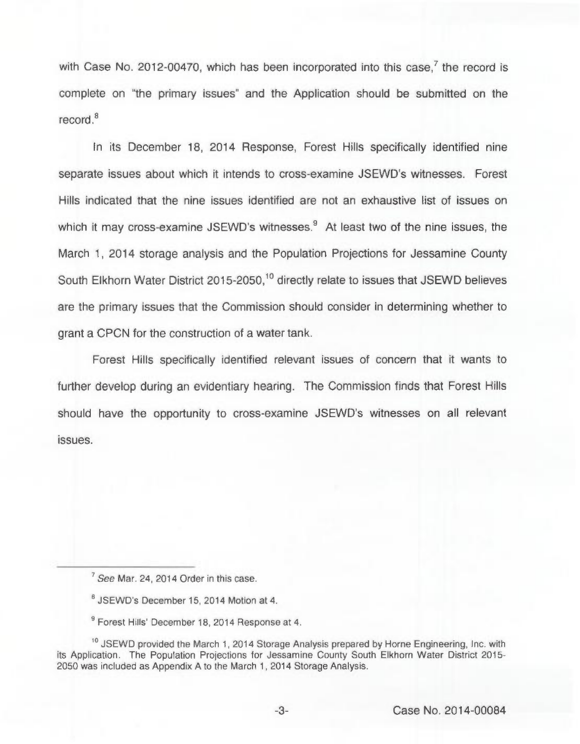with Case No. 2012-00470, which has been incorporated into this case.<sup>7</sup> the record is complete on "the primary issues" and the Application should be submitted on the  $reccord.<sup>8</sup>$ 

In its December 18, 2014 Response, Forest Hills specifically identified nine separate issues about which it intends to cross-examine JSEWD's witnesses. Forest Hills indicated that the nine issues identified are not an exhaustive list of issues on which it may cross-examine JSEWD's witnesses. $9$  At least two of the nine issues, the March 1, 2014 storage analysis and the Population Projections for Jessamine County South Elkhorn Water District 2015-2050.<sup>10</sup> directly relate to issues that JSEWD believes are the primary issues that the Commission should consider in determining whether to grant a CPCN for the construction of a water tank.

Forest Hills specifically identified relevant issues of concern that it wants to further develop during an evidentiary hearing. The Commission finds that Forest Hills should have the opportunity to cross-examine JSEWD's witnesses on all relevant issues.

<sup>9</sup> Forest Hills' December 18, 2014 Response at 4.

<sup>&</sup>lt;sup>7</sup> See Mar. 24, 2014 Order in this case.

JSEWD's December 15, 2014 Motion at 4.

<sup>&</sup>lt;sup>10</sup> JSEWD provided the March 1, 2014 Storage Analysis prepared by Horne Engineering, Inc. with its Application. The Population Projections for Jessamine County South Elkhorn Water District 2015- 2050 was included as Appendix A to the March 1, 2014 Storage Analysis.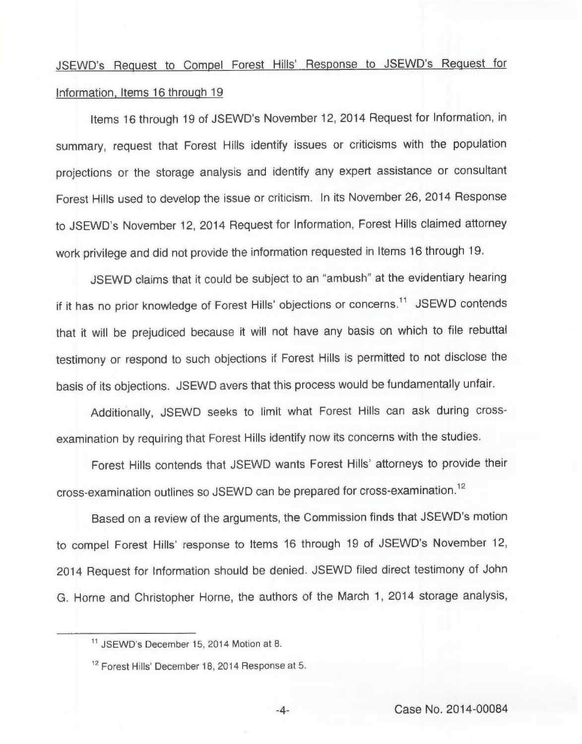## JSEWD's Request to Compel Forest Hills' Response to JSEWD's Request for Information. Items 16 throuah 19

Items 16 through 19 of JSEWD's November 12, 2014 Request for Information, in summary, request that Forest Hills identify issues or criticisms with the population projections or the storage analysis and identify any expert assistance or consultant Forest Hills used to develop the issue or criticism. In its November 26, 2014 Response to JSEWD's November 12, 2014 Request for Information, Forest Hills claimed attorney work privilege and did not provide the information requested in Items 16 through 19.

JSEWD claims that it could be subject to an "ambush" at the evidentiary hearing if it has no prior knowledge of Forest Hills' objections or concerns.<sup>11</sup> JSEWD contends that it will be prejudiced because it will not have any basis on which to file rebuttal testimony or respond to such objections if Forest Hills is permitted to not disclose the basis of its objections. JSEWD avers that this process would be fundamentally unfair.

Additionally, JSEWD seeks to limit what Forest Hills can ask during crossexamination by requiring that Forest Hills identify now its concerns with the studies.

Forest Hills contends that JSEWD wants Forest Hills' attorneys to provide their cross-examination outlines so JSEWD can be prepared for cross-examination."

Based on a review of the arguments, the Commission finds that JSEWD's motion to compel Forest Hills' response to Items 16 through 19 of JSEWD's November 12, 2014 Request for Information should be denied. JSEWD filed direct testimony of John G. Horne and Christopher Horne, the authors of the March 1, 2014 storage analysis,

<sup>&</sup>quot; JSEWD's December 15, 2014 Motion at 8.

<sup>12</sup> Forest Hills' December 18, 2014 Response at 5.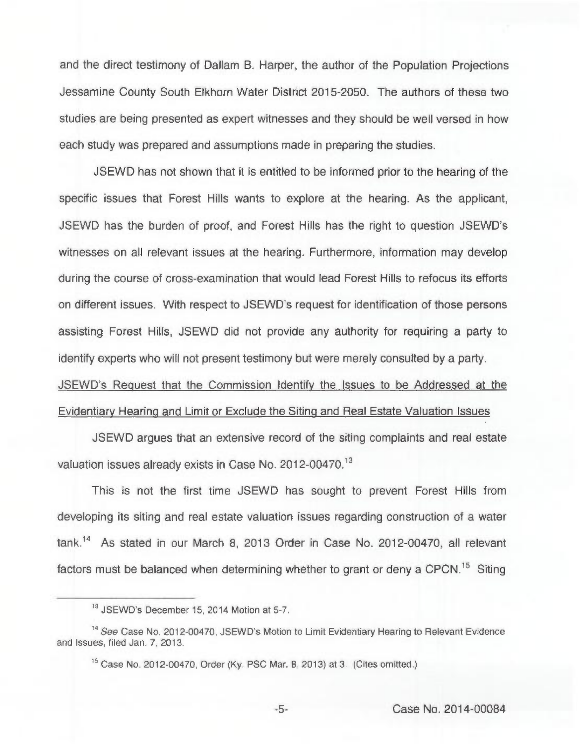and the direct testimony of Dallarn B. Harper, the author of the Population Projections Jessamine County South Elkhorn Water District 2015-2050. The authors of these two studies are being presented as expert witnesses and they should be well versed in how each study was prepared and assumptions made in preparing the studies.

JSEWD has not shown that it is entitled to be informed prior to the hearing of the specific issues that Forest Hills wants to explore at the hearing. As the applicant, JSEWD has the burden of proof, and Forest Hills has the right to question JSEWD's witnesses on all relevant issues at the hearing. Furthermore, information may develop during the course of cross-examination that would lead Forest Hills to refocus its efforts on different issues. With respect to JSEWD's request for identification of those persons assisting Forest Hills, JSEWD did not provide any authority for requiring a party to identify experts who will not present testimony but were merely consulted by a party. JSEWD's Reauest that the Commission Identifv the Issues to be Addressed at the Evidentiarv Hearina and Limit or Exclude the Sitina and Real Estate Valuation Issues

JSEWD argues that an extensive record of the siting complaints and real estate valuation issues already exists in Case No. 2012-00470.<sup>13</sup>

This is not the first time JSEWD has sought to prevent Forest Hills from developing its siting and real estate valuation issues regarding construction of a water tank.<sup>14</sup> As stated in our March 8, 2013 Order in Case No. 2012-00470, all relevant factors must be balanced when determining whether to grant or deny a CPCN.<sup>15</sup> Siting

<sup>&</sup>lt;sup>13</sup> JSEWD's December 15, 2014 Motion at 5-7.

<sup>&</sup>lt;sup>14</sup> See Case No. 2012-00470, JSEWD's Motion to Limit Evidentiary Hearing to Relevant Evidence and Issues, filed Jan. 7, 2013.

Case No. 2012-00470, Order (Ky. PSC Mar. 8, 2013) at 3. (Cites omitted.)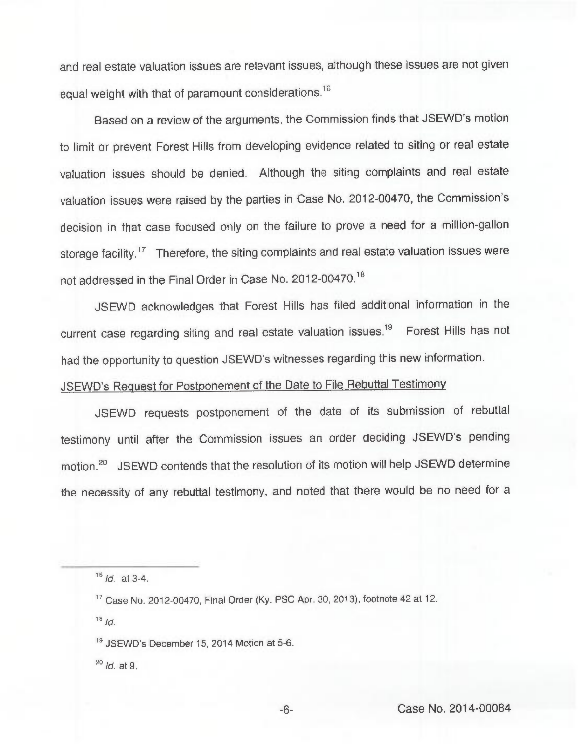and real estate valuation issues are relevant issues, although these issues are not given equal weight with that of paramount considerations.<sup>16</sup>

Based on a review of the arguments, the Commission finds that JSEWD's motion to limit or prevent Forest Hills from developing evidence related to siting or real estate valuation issues should be denied. Although the siting complaints and real estate valuation issues were raised by the parties in Case No. 2012-00470, the Commission's decision in that case focused only on the failure to prove a need for a million-gallon storage facility.<sup>17</sup> Therefore, the siting complaints and real estate valuation issues were not addressed in the Final Order in Case No. 2012-00470."

JSEWD acknowledges that Forest Hills has filed additional information in the current case regarding siting and real estate valuation issues.<sup>19</sup> Forest Hills has not had the opportunity to question JSEWD's witnesses regarding this new information.

JSEWD's Request for Postponement of the Date to File Rebuttal Testimony

JSEWD requests postponement of the date of its submission of rebuttal testimony until after the Commission issues an order deciding JSEWD's pending motion.<sup>20</sup> JSEWD contends that the resolution of its motion will help JSEWD determine the necessity of any rebuttal testimony, and noted that there would be no need for a

 $18$  Id.

 $^{20}$  Id. at 9.

 $16$   $1d.$  at 3-4.

Case No. 2012-00470, Final Order (Ky. PSC Apr. 30, 2013), footnote 42 at 12.

<sup>&</sup>lt;sup>19</sup> JSEWD's December 15, 2014 Motion at 5-6.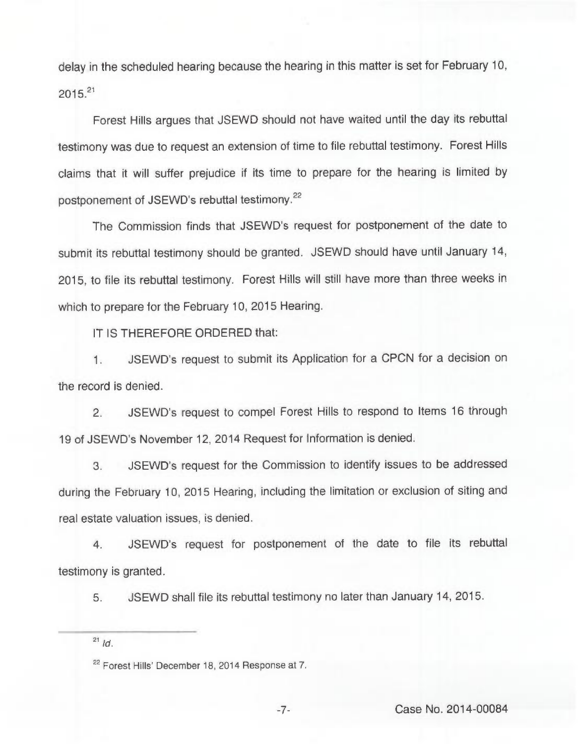delay in the scheduled hearing because the hearing in this matter is set for February 10,  $2015^{21}$ 

Forest Hills argues that JSEWD should not have waited until the day its rebuttal testimony was due to request an extension of time to file rebuttal testimony. Forest Hills claims that it will suffer prejudice if its time to prepare for the hearing is limited by postponement of JSEWD's rebuttal testimony.<sup>22</sup>

The Commission finds that JSEWD's request for postponement of the date to submit its rebuttal testimony should be granted. JSEWD should have until January 14, 2015, to file its rebuttal testimony. Forest Hills will still have more than three weeks in which to prepare for the February 10, 2015 Hearing.

IT IS THEREFORE ORDERED that:

1. JSEWD's request to submit its Application for a CPCN for a decision on the record is denied.

2. JSEWD's request to compel Forest Hills to respond to Items 16 through 19 of JSEWD's November 12, 2014 Request for Information is denied.

3. JSEWD's request for the Commission to identify issues to be addressed during the February 10, 2015 Hearing, including the limitation or exclusion of siting and real estate valuation issues, is denied.

4. JSEWD's request for postponement of the date to file its rebuttal testimony is granted.

5. JSEWD shall file its rebuttal testimony no later than January 14, 2015.

nd.<br><sup>22</sup> Forest Hills' December 18, 2014 Response at 7.

 $^{21}$  Id.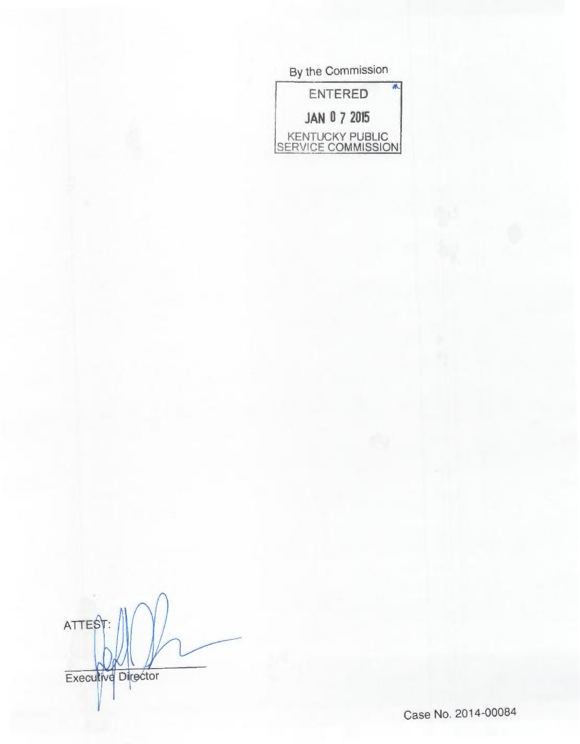| By the Commission<br>养<br>ENTERED<br><b>JAN 0 7 2015</b><br>KENTUCKY PUBLIC<br>SERVICE COMMISSION |
|---------------------------------------------------------------------------------------------------|
|                                                                                                   |
|                                                                                                   |
|                                                                                                   |

ATTEST: Executive Director